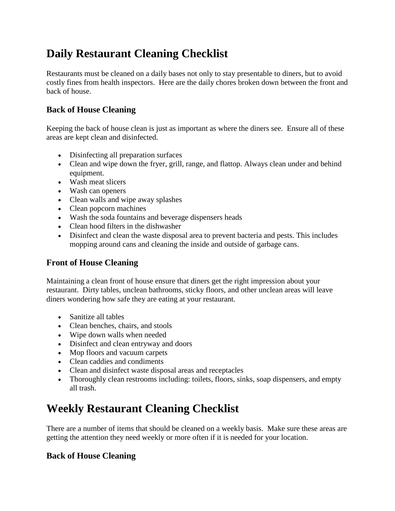# **Daily Restaurant Cleaning Checklist**

Restaurants must be cleaned on a daily bases not only to stay presentable to diners, but to avoid costly fines from health inspectors. Here are the daily chores broken down between the front and back of house.

## **Back of House Cleaning**

Keeping the back of house clean is just as important as where the diners see. Ensure all of these areas are kept clean and disinfected.

- Disinfecting all preparation surfaces
- Clean and wipe down the fryer, grill, range, and flattop. Always clean under and behind equipment.
- Wash meat slicers
- Wash can openers
- Clean walls and wipe away splashes
- Clean popcorn machines
- Wash the soda fountains and beverage dispensers heads
- Clean hood filters in the dishwasher
- Disinfect and clean the waste disposal area to prevent bacteria and pests. This includes mopping around cans and cleaning the inside and outside of garbage cans.

## **Front of House Cleaning**

Maintaining a clean front of house ensure that diners get the right impression about your restaurant. Dirty tables, unclean bathrooms, sticky floors, and other unclean areas will leave diners wondering how safe they are eating at your restaurant.

- Sanitize all tables
- Clean benches, chairs, and stools
- Wipe down walls when needed
- Disinfect and clean entryway and doors
- Mop floors and vacuum carpets
- Clean caddies and condiments
- Clean and disinfect waste disposal areas and receptacles
- Thoroughly clean restrooms including: toilets, floors, sinks, soap dispensers, and empty all trash.

# **Weekly Restaurant Cleaning Checklist**

There are a number of items that should be cleaned on a weekly basis. Make sure these areas are getting the attention they need weekly or more often if it is needed for your location.

## **Back of House Cleaning**